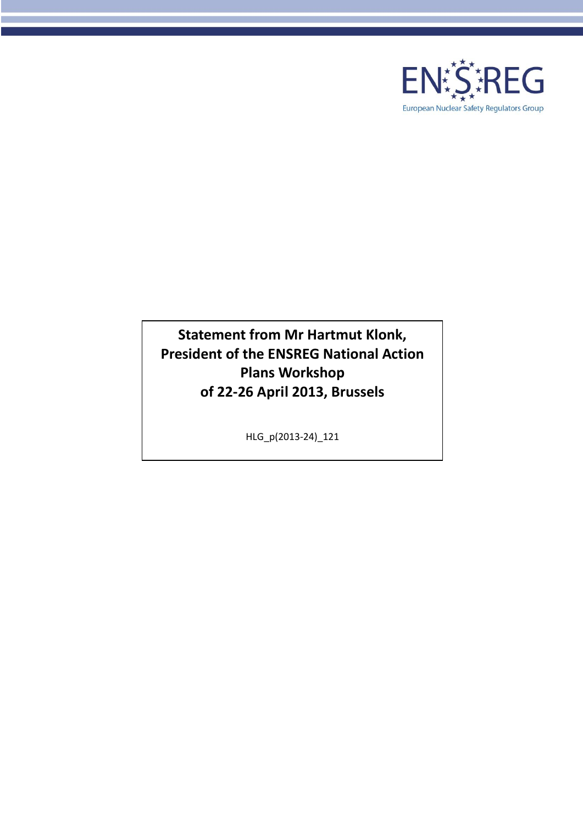

## **Statement from Mr Hartmut Klonk, President of the ENSREG National Action Plans Workshop of 22-26 April 2013, Brussels**

HLG\_p(2013-24)\_121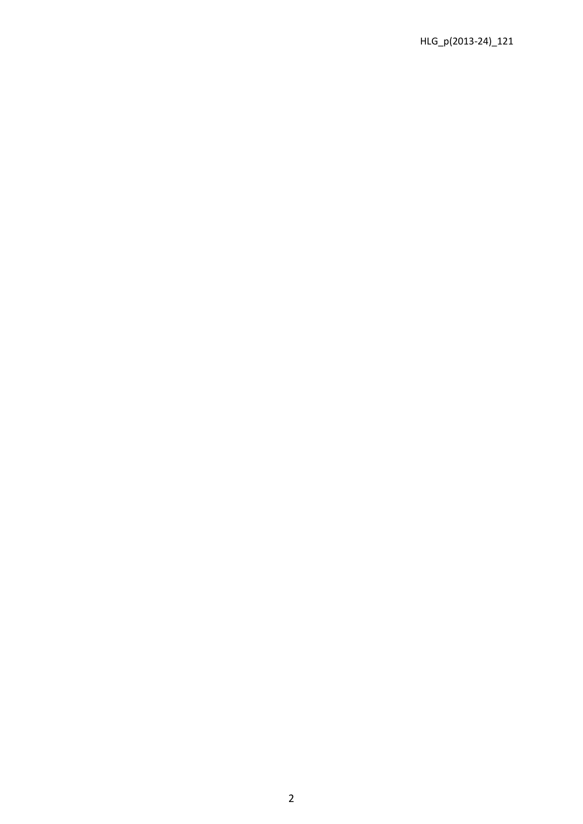## HLG\_p(2013-24)\_121